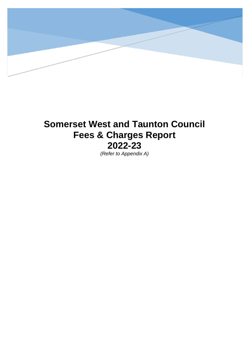

## **Somerset West and Taunton Council Fees & Charges Report 2022-23**

*(Refer to Appendix A)*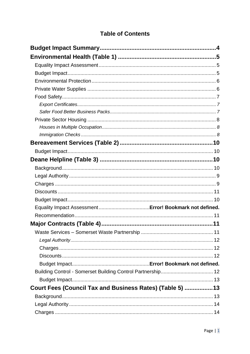## **Table of Contents**

|                                                          | 11 |
|----------------------------------------------------------|----|
|                                                          |    |
|                                                          |    |
|                                                          |    |
|                                                          |    |
|                                                          |    |
|                                                          |    |
| Court Fees (Council Tax and Business Rates) (Table 5) 13 |    |
|                                                          |    |
|                                                          |    |
|                                                          |    |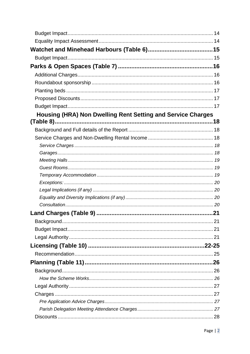| Housing (HRA) Non Dwelling Rent Setting and Service Charges |  |
|-------------------------------------------------------------|--|
|                                                             |  |
|                                                             |  |
|                                                             |  |
|                                                             |  |
|                                                             |  |
|                                                             |  |
|                                                             |  |
|                                                             |  |
|                                                             |  |
|                                                             |  |
|                                                             |  |
|                                                             |  |
|                                                             |  |
|                                                             |  |
|                                                             |  |
|                                                             |  |
|                                                             |  |
|                                                             |  |
|                                                             |  |
|                                                             |  |
|                                                             |  |
|                                                             |  |
|                                                             |  |
|                                                             |  |
|                                                             |  |
|                                                             |  |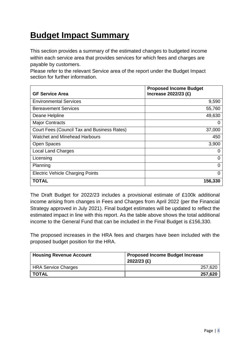# **Budget Impact Summary**

This section provides a summary of the estimated changes to budgeted income within each service area that provides services for which fees and charges are payable by customers.

Please refer to the relevant Service area of the report under the Budget Impact section for further information.

| <b>GF Service Area</b>                      | <b>Proposed Income Budget</b><br>Increase 2022/23 (£) |
|---------------------------------------------|-------------------------------------------------------|
| <b>Environmental Services</b>               | 9,590                                                 |
| <b>Bereavement Services</b>                 | 55,760                                                |
| Deane Helpline                              | 49,630                                                |
| <b>Major Contracts</b>                      | 0                                                     |
| Court Fees (Council Tax and Business Rates) | 37,000                                                |
| <b>Watchet and Minehead Harbours</b>        | 450                                                   |
| Open Spaces                                 | 3,900                                                 |
| <b>Local Land Charges</b>                   | 0                                                     |
| Licensing                                   | 0                                                     |
| Planning                                    | 0                                                     |
| <b>Electric Vehicle Charging Points</b>     | 0                                                     |
| TOTAL                                       | 156,330                                               |

The Draft Budget for 2022/23 includes a provisional estimate of £100k additional income arising from changes in Fees and Charges from April 2022 (per the Financial Strategy approved in July 2021). Final budget estimates will be updated to reflect the estimated impact in line with this report. As the table above shows the total additional income to the General Fund that can be included in the Final Budget is £156,330.

The proposed increases in the HRA fees and charges have been included with the proposed budget position for the HRA.

| <b>Housing Revenue Account</b> | <b>Proposed Income Budget Increase</b><br>2022/23 (£) |  |
|--------------------------------|-------------------------------------------------------|--|
| <b>HRA Service Charges</b>     | 257,620                                               |  |
| <b>TOTAL</b>                   | 257,620                                               |  |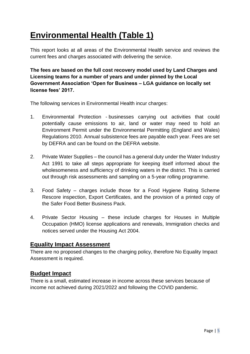# **Environmental Health (Table 1)**

This report looks at all areas of the Environmental Health service and reviews the current fees and charges associated with delivering the service.

**The fees are based on the full cost recovery model used by Land Charges and Licensing teams for a number of years and under pinned by the Local Government Association 'Open for Business – LGA guidance on locally set license fees' 2017.**

The following services in Environmental Health incur charges:

- 1. Environmental Protection businesses carrying out activities that could potentially cause emissions to air, land or water may need to hold an Environment Permit under the Environmental Permitting (England and Wales) Regulations 2010. Annual subsistence fees are payable each year. Fees are set by DEFRA and can be found on the DEFRA website.
- 2. Private Water Supplies the council has a general duty under the Water Industry Act 1991 to take all steps appropriate for keeping itself informed about the wholesomeness and sufficiency of drinking waters in the district. This is carried out through risk assessments and sampling on a 5-year rolling programme.
- 3. Food Safety charges include those for a Food Hygiene Rating Scheme Rescore inspection, Export Certificates, and the provision of a printed copy of the Safer Food Better Business Pack.
- 4. Private Sector Housing these include charges for Houses in Multiple Occupation (HMO) license applications and renewals, Immigration checks and notices served under the Housing Act 2004.

## **Equality Impact Assessment**

There are no proposed changes to the charging policy, therefore No Equality Impact Assessment is required.

## **Budget Impact**

There is a small, estimated increase in income across these services because of income not achieved during 2021/2022 and following the COVID pandemic.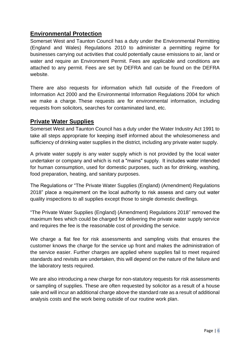## **Environmental Protection**

Somerset West and Taunton Council has a duty under the Environmental Permitting (England and Wales) Regulations 2010 to administer a permitting regime for businesses carrying out activities that could potentially cause emissions to air, land or water and require an Environment Permit. Fees are applicable and conditions are attached to any permit. Fees are set by DEFRA and can be found on the DEFRA website.

There are also requests for information which fall outside of the Freedom of Information Act 2000 and the Environmental Information Regulations 2004 for which we make a charge. These requests are for environmental information, including requests from solicitors, searches for contaminated land, etc.

#### **Private Water Supplies**

Somerset West and Taunton Council has a duty under the Water Industry Act 1991 to take all steps appropriate for keeping itself informed about the wholesomeness and sufficiency of drinking water supplies in the district, including any private water supply.

A private water supply is any water supply which is not provided by the local water undertaker or company and which is not a "mains" supply.  It includes water intended for human consumption, used for domestic purposes, such as for drinking, washing, food preparation, heating, and sanitary purposes.

The Regulations or "The Private Water Supplies (England) (Amendment) Regulations 2018" place a requirement on the local authority to risk assess and carry out water quality inspections to all supplies except those to single domestic dwellings.

"The Private Water Supplies (England) (Amendment) Regulations 2018" removed the maximum fees which could be charged for delivering the private water supply service and requires the fee is the reasonable cost of providing the service.

We charge a flat fee for risk assessments and sampling visits that ensures the customer knows the charge for the service up front and makes the administration of the service easier. Further charges are applied where supplies fail to meet required standards and revisits are undertaken, this will depend on the nature of the failure and the laboratory tests required.

We are also introducing a new charge for non-statutory requests for risk assessments or sampling of supplies. These are often requested by solicitor as a result of a house sale and will incur an additional charge above the standard rate as a result of additional analysis costs and the work being outside of our routine work plan.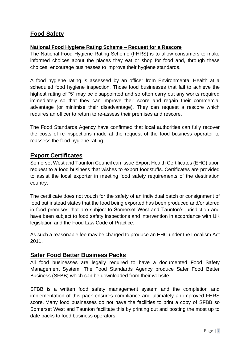## **Food Safety**

#### **National Food Hygiene Rating Scheme – Request for a Rescore**

The National Food Hygiene Rating Scheme (FHRS) is to allow consumers to make informed choices about the places they eat or shop for food and, through these choices, encourage businesses to improve their hygiene standards.

A food hygiene rating is assessed by an officer from Environmental Health at a scheduled food hygiene inspection. Those food businesses that fail to achieve the highest rating of "5" may be disappointed and so often carry out any works required immediately so that they can improve their score and regain their commercial advantage (or minimise their disadvantage). They can request a rescore which requires an officer to return to re-assess their premises and rescore.

The Food Standards Agency have confirmed that local authorities can fully recover the costs of re-inspections made at the request of the food business operator to reassess the food hygiene rating.

#### **Export Certificates**

Somerset West and Taunton Council can issue Export Health Certificates (EHC) upon request to a food business that wishes to export foodstuffs. Certificates are provided to assist the local exporter in meeting food safety requirements of the destination country.

The certificate does not vouch for the safety of an individual batch or consignment of food but instead states that the food being exported has been produced and/or stored in food premises that are subject to Somerset West and Taunton's jurisdiction and have been subject to food safety inspections and intervention in accordance with UK legislation and the Food Law Code of Practice.

As such a reasonable fee may be charged to produce an EHC under the Localism Act 2011.

#### **Safer Food Better Business Packs**

All food businesses are legally required to have a documented Food Safety Management System. The Food Standards Agency produce Safer Food Better Business (SFBB) which can be downloaded from their website.

SFBB is a written food safety management system and the completion and implementation of this pack ensures compliance and ultimately an improved FHRS score. Many food businesses do not have the facilities to print a copy of SFBB so Somerset West and Taunton facilitate this by printing out and posting the most up to date packs to food business operators.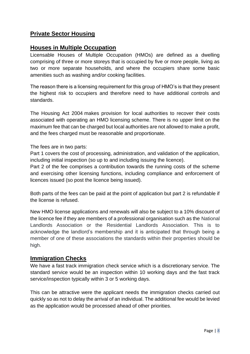## **Private Sector Housing**

#### **Houses in Multiple Occupation**

Licensable Houses of Multiple Occupation (HMOs) are defined as a dwelling comprising of three or more storeys that is occupied by five or more people, living as two or more separate households, and where the occupiers share some basic amenities such as washing and/or cooking facilities.

The reason there is a licensing requirement for this group of HMO's is that they present the highest risk to occupiers and therefore need to have additional controls and standards.

The Housing Act 2004 makes provision for local authorities to recover their costs associated with operating an HMO licensing scheme. There is no upper limit on the maximum fee that can be charged but local authorities are not allowed to make a profit, and the fees charged must be reasonable and proportionate.

The fees are in two parts:

Part 1 covers the cost of processing, administration, and validation of the application, including initial inspection (so up to and including issuing the licence).

Part 2 of the fee comprises a contribution towards the running costs of the scheme and exercising other licensing functions, including compliance and enforcement of licences issued (so post the licence being issued).

Both parts of the fees can be paid at the point of application but part 2 is refundable if the license is refused.

New HMO license applications and renewals will also be subject to a 10% discount of the licence fee if they are members of a professional organisation such as the National Landlords Association or the Residential Landlords Association. This is to acknowledge the landlord's membership and it is anticipated that through being a member of one of these associations the standards within their properties should be high.

#### **Immigration Checks**

We have a fast track immigration check service which is a discretionary service. The standard service would be an inspection within 10 working days and the fast track service/inspection typically within 3 or 5 working days.

This can be attractive were the applicant needs the immigration checks carried out quickly so as not to delay the arrival of an individual. The additional fee would be levied as the application would be processed ahead of other priorities.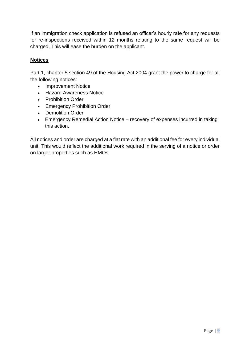If an immigration check application is refused an officer's hourly rate for any requests for re-inspections received within 12 months relating to the same request will be charged. This will ease the burden on the applicant.

#### **Notices**

Part 1, chapter 5 section 49 of the Housing Act 2004 grant the power to charge for all the following notices:

- Improvement Notice
- Hazard Awareness Notice
- Prohibition Order
- Emergency Prohibition Order
- Demolition Order
- Emergency Remedial Action Notice recovery of expenses incurred in taking this action.

All notices and order are charged at a flat rate with an additional fee for every individual unit. This would reflect the additional work required in the serving of a notice or order on larger properties such as HMOs.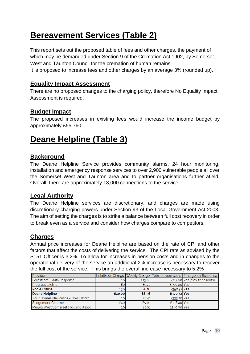## **Bereavement Services (Table 2)**

This report sets out the proposed table of fees and other charges, the payment of which may be demanded under Section 9 of the Cremation Act 1902, by Somerset West and Taunton Council for the cremation of human remains.

It is proposed to increase fees and other charges by an average 3% (rounded up).

#### **Equality Impact Assessment**

There are no proposed changes to the charging policy, therefore No Equality Impact Assessment is required.

#### **Budget Impact**

The proposed increases in existing fees would increase the income budget by approximately £55,760.

## **Deane Helpline (Table 3)**

#### **Background**

The Deane Helpline Service provides community alarms, 24 hour monitoring, installation and emergency response services to over 2,900 vulnerable people all over the Somerset West and Taunton area and to partner organisations further afield, Overall, there are approximately 13,000 connections to the service.

## **Legal Authority**

The Deane Helpline services are discretionary, and charges are made using discretionary charging powers under Section 93 of the Local Government Act 2003. The aim of setting the charges is to strike a balance between full cost recovery in order to break even as a service and consider how charges compare to competitors.

#### **Charges**

Annual price increases for Deane Helpline are based on the rate of CPI and other factors that affect the costs of delivering the service. The CPI rate as advised by the S151 Officer is 3.2%. To allow for increases in pension costs and in changes to the operational delivery of the service an additional 2% increase is necessary to recover the full cost of the service. This brings the overall increase necessary to 5.2%

| Provider                            |        |        |             | Installation Charge Weekly Charge Total 1st year costs Emergency Response |
|-------------------------------------|--------|--------|-------------|---------------------------------------------------------------------------|
| Forestcare - With Response          | £ο     | £13.08 |             | £717.60 Yes (Max 12 callouts)                                             |
| <b>Progress Lifeline</b>            | £o.    | £5.77  | £300.00 Yes |                                                                           |
| Poole Lifeline                      | E30    | £6.16  | £350.32 Yes |                                                                           |
| Deane Helpline                      | £40.00 | £6.36  | £370.72 Yes |                                                                           |
| Your Homes Newcastle - Now Ostara   | £0     | £6.41  | £333.20 Yes |                                                                           |
| Sedgemoor Careline                  | £40    | £5.70  | £336.40 Yes |                                                                           |
| Magna West Somerset (Housing Assoc) | £o.    | £4.61  | £240.00 Yes |                                                                           |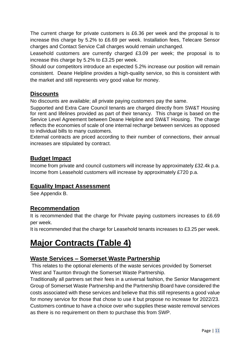The current charge for private customers is £6.36 per week and the proposal is to increase this charge by 5.2% to £6.69 per week. Installation fees, Telecare Sensor charges and Contact Service Call charges would remain unchanged.

Leasehold customers are currently charged £3.09 per week; the proposal is to increase this charge by 5.2% to £3.25 per week.

Should our competitors introduce an expected 5.2% increase our position will remain consistent. Deane Helpline provides a high-quality service, so this is consistent with the market and still represents very good value for money.

## **Discounts**

No discounts are available; all private paying customers pay the same.

Supported and Extra Care Council tenants are charged directly from SW&T Housing for rent and lifelines provided as part of their tenancy. This charge is based on the Service Level Agreement between Deane Helpline and SW&T Housing. The charge reflects the economies of scale of one internal recharge between services as opposed to individual bills to many customers.

External contracts are priced according to their number of connections, their annual increases are stipulated by contract.

#### **Budget Impact**

Income from private and council customers will increase by approximately £32.4k p.a. Income from Leasehold customers will increase by approximately £720 p.a.

#### **Equality Impact Assessment**

See Appendix B.

## **Recommendation**

It is recommended that the charge for Private paying customers increases to £6.69 per week.

It is recommended that the charge for Leasehold tenants increases to £3.25 per week.

## **Major Contracts (Table 4)**

## **Waste Services – Somerset Waste Partnership**

This relates to the optional elements of the waste services provided by Somerset West and Taunton through the Somerset Waste Partnership.

Traditionally all partners set their fees in a universal fashion, the Senior Management Group of Somerset Waste Partnership and the Partnership Board have considered the costs associated with these services and believe that this still represents a good value for money service for those that chose to use it but propose no increase for 2022/23. Customers continue to have a choice over who supplies these waste removal services as there is no requirement on them to purchase this from SWP.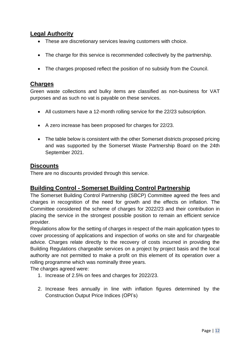## **Legal Authority**

- These are discretionary services leaving customers with choice.
- The charge for this service is recommended collectively by the partnership.
- The charges proposed reflect the position of no subsidy from the Council.

#### **Charges**

Green waste collections and bulky items are classified as non-business for VAT purposes and as such no vat is payable on these services.

- All customers have a 12-month rolling service for the 22/23 subscription.
- A zero increase has been proposed for charges for 22/23.
- The table below is consistent with the other Somerset districts proposed pricing and was supported by the Somerset Waste Partnership Board on the 24th September 2021.

#### **Discounts**

There are no discounts provided through this service.

#### **Building Control - Somerset Building Control Partnership**

The Somerset Building Control Partnership (SBCP) Committee agreed the fees and charges in recognition of the need for growth and the effects on inflation. The Committee considered the scheme of charges for 2022/23 and their contribution in placing the service in the strongest possible position to remain an efficient service provider.

Regulations allow for the setting of charges in respect of the main application types to cover processing of applications and inspection of works on site and for chargeable advice. Charges relate directly to the recovery of costs incurred in providing the Building Regulations chargeable services on a project by project basis and the local authority are not permitted to make a profit on this element of its operation over a rolling programme which was nominally three years.

The charges agreed were:

- 1. Increase of 2.5% on fees and charges for 2022/23.
- 2. Increase fees annually in line with inflation figures determined by the Construction Output Price Indices (OPI's)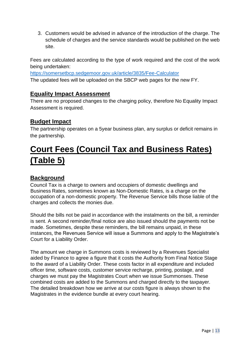3. Customers would be advised in advance of the introduction of the charge. The schedule of charges and the service standards would be published on the web site.

Fees are calculated according to the type of work required and the cost of the work being undertaken:

<https://somersetbcp.sedgemoor.gov.uk/article/3835/Fee-Calculator> The updated fees will be uploaded on the SBCP web pages for the new FY.

## **Equality Impact Assessment**

There are no proposed changes to the charging policy, therefore No Equality Impact Assessment is required.

## **Budget Impact**

The partnership operates on a 5year business plan, any surplus or deficit remains in the partnership.

## **Court Fees (Council Tax and Business Rates) (Table 5)**

## **Background**

Council Tax is a charge to owners and occupiers of domestic dwellings and Business Rates, sometimes known as Non-Domestic Rates, is a charge on the occupation of a non-domestic property. The Revenue Service bills those liable of the charges and collects the monies due.

Should the bills not be paid in accordance with the instalments on the bill, a reminder is sent. A second reminder/final notice are also issued should the payments not be made. Sometimes, despite these reminders, the bill remains unpaid, in these instances, the Revenues Service will issue a Summons and apply to the Magistrate's Court for a Liability Order.

The amount we charge in Summons costs is reviewed by a Revenues Specialist aided by Finance to agree a figure that it costs the Authority from Final Notice Stage to the award of a Liability Order. These costs factor in all expenditure and included officer time, software costs, customer service recharge, printing, postage, and charges we must pay the Magistrates Court when we issue Summonses. These combined costs are added to the Summons and charged directly to the taxpayer. The detailed breakdown how we arrive at our costs figure is always shown to the Magistrates in the evidence bundle at every court hearing.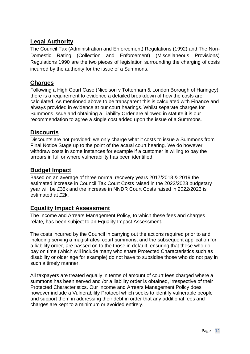## **Legal Authority**

The Council Tax (Administration and Enforcement) Regulations (1992) and The Non-Domestic Rating (Collection and Enforcement) (Miscellaneous Provisions) Regulations 1990 are the two pieces of legislation surrounding the charging of costs incurred by the authority for the issue of a Summons.

#### **Charges**

Following a High Court Case (Nicolson v Tottenham & London Borough of Haringey) there is a requirement to evidence a detailed breakdown of how the costs are calculated. As mentioned above to be transparent this is calculated with Finance and always provided in evidence at our court hearings. Whilst separate charges for Summons issue and obtaining a Liability Order are allowed in statute it is our recommendation to agree a single cost added upon the issue of a Summons.

#### **Discounts**

Discounts are not provided; we only charge what it costs to issue a Summons from Final Notice Stage up to the point of the actual court hearing. We do however withdraw costs in some instances for example if a customer is willing to pay the arrears in full or where vulnerability has been identified.

#### **Budget Impact**

Based on an average of three normal recovery years 2017/2018 & 2019 the estimated increase in Council Tax Court Costs raised in the 2022/2023 budgetary year will be £35k and the increase in NNDR Court Costs raised in 2022/2023 is estimated at £2k.

## **Equality Impact Assessment**

The Income and Arrears Management Policy, to which these fees and charges relate, has been subject to an Equality Impact Assessment.

The costs incurred by the Council in carrying out the actions required prior to and including serving a magistrates' court summons, and the subsequent application for a liability order, are passed on to the those in default, ensuring that those who do pay on time (which will include many who share Protected Characteristics such as disability or older age for example) do not have to subsidise those who do not pay in such a timely manner.

All taxpayers are treated equally in terms of amount of court fees charged where a summons has been served and /or a liability order is obtained, irrespective of their Protected Characteristics. Our Income and Arrears Management Policy does however include a Vulnerability Protocol which seeks to identify vulnerable people and support them in addressing their debt in order that any additional fees and charges are kept to a minimum or avoided entirely.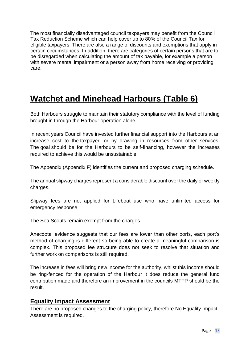The most financially disadvantaged council taxpayers may benefit from the Council Tax Reduction Scheme which can help cover up to 80% of the Council Tax for eligible taxpayers. There are also a range of discounts and exemptions that apply in certain circumstances. In addition, there are categories of certain persons that are to be disregarded when calculating the amount of tax payable, for example a person with severe mental impairment or a person away from home receiving or providing care.

## **Watchet and Minehead Harbours (Table 6)**

Both Harbours struggle to maintain their statutory compliance with the level of funding brought in through the Harbour operation alone.

In recent years Council have invested further financial support into the Harbours at an increase cost to the taxpayer, or by drawing in resources from other services. The goal should be for the Harbours to be self-financing, however the increases required to achieve this would be unsustainable.

The Appendix (Appendix F) identifies the current and proposed charging schedule.

The annual slipway charges represent a considerable discount over the daily or weekly charges.

Slipway fees are not applied for Lifeboat use who have unlimited access for emergency response.

The Sea Scouts remain exempt from the charges.

Anecdotal evidence suggests that our fees are lower than other ports, each port's method of charging is different so being able to create a meaningful comparison is complex. This proposed fee structure does not seek to resolve that situation and further work on comparisons is still required.

The increase in fees will bring new income for the authority, whilst this income should be ring-fenced for the operation of the Harbour it does reduce the general fund contribution made and therefore an improvement in the councils MTFP should be the result.

#### **Equality Impact Assessment**

There are no proposed changes to the charging policy, therefore No Equality Impact Assessment is required.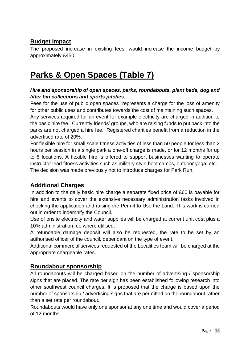## **Budget Impact**

The proposed increase in existing fees, would increase the income budget by approximately £450.

## **Parks & Open Spaces (Table 7)**

#### *Hire and sponsorship of open spaces, parks, roundabouts, plant beds, dog and litter bin collections and sports pitches.*

Fees for the use of public open spaces represents a charge for the loss of amenity for other public uses and contributes towards the cost of maintaining such spaces.

Any services required for an event for example electricity are charged in addition to the basic hire fee. Currently friends' groups, who are raising funds to put back into the parks are not charged a hire fee. Registered charities benefit from a reduction in the advertised rate of 20%.

For flexible hire for small scale fitness activities of less than 50 people for less than 2 hours per session in a single park a one-off charge is made, or for 12 months for up to 5 locations. A flexible hire is offered to support businesses wanting to operate instructor lead fitness activities such as military style boot camps, outdoor yoga, etc. The decision was made previously not to introduce charges for Park Run.

## **Additional Charges**

In addition to the daily basic hire charge a separate fixed price of £60 is payable for hire and events to cover the extensive necessary administration tasks involved in checking the application and raising the Permit to Use the Land. This work is carried out in order to indemnify the Council.

Use of onsite electricity and water supplies will be charged at current unit cost plus a 10% administration fee where utilised.

A refundable damage deposit will also be requested, the rate to be set by an authorised officer of the council, dependant on the type of event.

Additional commercial services requested of the Localities team will be charged at the appropriate chargeable rates.

## **Roundabout sponsorship**

All roundabouts will be charged based on the number of advertising / sponsorship signs that are placed. The rate per sign has been established following research into other southwest council charges. It is proposed that the charge is based upon the number of sponsorship / advertising signs that are permitted on the roundabout rather than a set rate per roundabout.

Roundabouts would have only one sponsor at any one time and would cover a period of 12 months.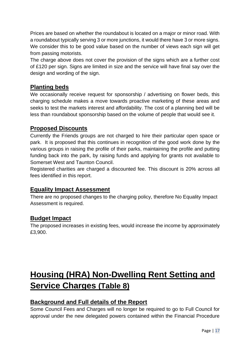Prices are based on whether the roundabout is located on a major or minor road. With a roundabout typically serving 3 or more junctions, it would there have 3 or more signs. We consider this to be good value based on the number of views each sign will get from passing motorists.

The charge above does not cover the provision of the signs which are a further cost of £120 per sign. Signs are limited in size and the service will have final say over the design and wording of the sign.

## **Planting beds**

We occasionally receive request for sponsorship / advertising on flower beds, this charging schedule makes a move towards proactive marketing of these areas and seeks to test the markets interest and affordability. The cost of a planning bed will be less than roundabout sponsorship based on the volume of people that would see it.

#### **Proposed Discounts**

Currently the Friends groups are not charged to hire their particular open space or park. It is proposed that this continues in recognition of the good work done by the various groups in raising the profile of their parks, maintaining the profile and putting funding back into the park, by raising funds and applying for grants not available to Somerset West and Taunton Council.

Registered charities are charged a discounted fee. This discount is 20% across all fees identified in this report.

## **Equality Impact Assessment**

There are no proposed changes to the charging policy, therefore No Equality Impact Assessment is required.

## **Budget Impact**

The proposed increases in existing fees, would increase the income by approximately £3,900.

# **Housing (HRA) Non-Dwelling Rent Setting and Service Charges (Table 8)**

## **Background and Full details of the Report**

Some Council Fees and Charges will no longer be required to go to Full Council for approval under the new delegated powers contained within the Financial Procedure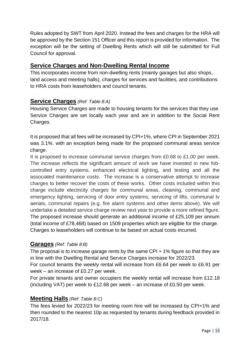Rules adopted by SWT from April 2020. Instead the fees and charges for the HRA will be approved by the Section 151 Officer and this report is provided for information. The exception will be the setting of Dwelling Rents which will still be submitted for Full Council for approval.

#### **Service Charges and Non-Dwelling Rental Income**

This incorporates income from non-dwelling rents (mainly garages but also shops, land access and meeting halls), charges for services and facilities, and contributions to HRA costs from leaseholders and council tenants.

#### **Service Charges** *(Ref: Table 8:A)*

Housing Service Charges are made to housing tenants for the services that they use. Service Charges are set locally each year and are in addition to the Social Rent Charges.

It is proposed that all fees will be increased by CPI+1%, where CPI in September 2021 was 3.1%. with an exception being made for the proposed communal areas service charge.

It is proposed to increase communal service charges from £0.68 to £1.00 per week. The increase reflects the significant amount of work we have invested in new fobcontrolled entry systems, enhanced electrical lighting, and testing and all the associated maintenance costs. The increase is a conservative attempt to increase charges to better recover the costs of these works. Other costs included within this charge include electricity charges for communal areas, cleaning, communal and emergency lighting, servicing of door entry systems, servicing of lifts, communal tv aerials, communal repairs (e.g. fire alarm systems and other items above). We will undertake a detailed service charge review next year to provide a more refined figure. The proposed increase should generate an additional income of £25,109 per annum (total income of £78,468) based on 1509 properties which are eligible for the charge. Charges to leaseholders will continue to be based on actual costs incurred.

#### **Garages** *(Ref: Table 8:B)*

The proposal is to increase garage rents by the same CPI + 1% figure so that they are in line with the Dwelling Rental and Service Charges increase for 2022/23.

For council tenants the weekly rental will increase from £6.64 per week to £6.91 per week – an increase of £0.27 per week.

For private tenants and owner occupiers the weekly rental will increase from £12.18 (including VAT) per week to £12.68 per week – an increase of £0.50 per week.

## **Meeting Halls** *(Ref: Table 8:C)*

The fees levied for 2022/23 for meeting room hire will be increased by CPI+1% and then rounded to the nearest 10p as requested by tenants during feedback provided in 2017/18.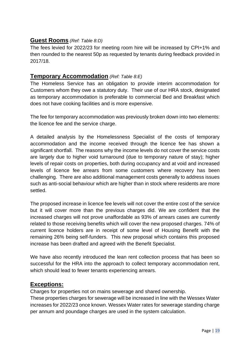#### **Guest Rooms** *(Ref: Table 8:D)*

The fees levied for 2022/23 for meeting room hire will be increased by CPI+1% and then rounded to the nearest 50p as requested by tenants during feedback provided in 2017/18.

#### **Temporary Accommodation** *(Ref: Table 8:E)*

The Homeless Service has an obligation to provide interim accommodation for Customers whom they owe a statutory duty. Their use of our HRA stock, designated as temporary accommodation is preferable to commercial Bed and Breakfast which does not have cooking facilities and is more expensive.

The fee for temporary accommodation was previously broken down into two elements: the licence fee and the service charge.

A detailed analysis by the Homelessness Specialist of the costs of temporary accommodation and the income received through the licence fee has shown a significant shortfall. The reasons why the income levels do not cover the service costs are largely due to higher void turnaround (due to temporary nature of stay); higher levels of repair costs on properties, both during occupancy and at void and increased levels of licence fee arrears from some customers where recovery has been challenging. There are also additional management costs generally to address issues such as anti-social behaviour which are higher than in stock where residents are more settled.

The proposed increase in licence fee levels will not cover the entire cost of the service but it will cover more than the previous charges did. We are confident that the increased charges will not prove unaffordable as 93% of arrears cases are currently related to those receiving benefits which will cover the new proposed charges. 74% of current licence holders are in receipt of some level of Housing Benefit with the remaining 26% being self-funders. This new proposal which contains this proposed increase has been drafted and agreed with the Benefit Specialist.

We have also recently introduced the lean rent collection process that has been so successful for the HRA into the approach to collect temporary accommodation rent, which should lead to fewer tenants experiencing arrears.

#### **Exceptions:**

Charges for properties not on mains sewerage and shared ownership.

These properties charges for sewerage will be increased in line with the Wessex Water increases for 2022/23 once known. Wessex Water rates for sewerage standing charge per annum and poundage charges are used in the system calculation.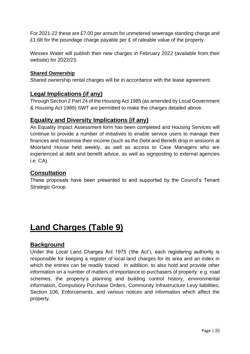For 2021-22 these are £7.00 per annum for unmetered sewerage standing charge and £1.68 for the poundage charge payable per £ of rateable value of the property.

Wessex Water will publish their new charges in February 2022 (available from their website) for 2022/23.

#### **Shared Ownership**

Shared ownership rental charges will be in accordance with the lease agreement.

#### **Legal Implications (if any)**

Through Section 2 Part 24 of the Housing Act 1985 (as amended by Local Government & Housing Act 1989) SWT are permitted to make the charges detailed above.

#### **Equality and Diversity Implications (if any)**

An Equality Impact Assessment form has been completed and Housing Services will continue to provide a number of initiatives to enable service users to manage their finances and maximise their income (such as the Debt and Benefit drop in sessions at Moorland House held weekly, as well as access to Case Managers who are experienced at debt and benefit advice, as well as signposting to external agencies i.e. CA).

#### **Consultation**

These proposals have been presented to and supported by the Council's Tenant Strategic Group.

## **Land Charges (Table 9)**

## **Background**

Under the Local Land Charges Act 1975 ('the Act'), each registering authority is responsible for keeping a register of local land charges for its area and an index in which the entries can be readily traced. In addition, to also hold and provide other information on a number of matters of importance to purchasers of property: e.g. road schemes, the property's planning and building control history, environmental information, Compulsory Purchase Orders, Community Infrastructure Levy liabilities, Section 106, Enforcements, and various notices and information which affect the property.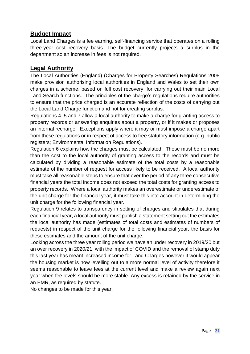## **Budget Impact**

Local Land Charges is a fee earning, self-financing service that operates on a rolling three-year cost recovery basis. The budget currently projects a surplus in the department so an increase in fees is not required.

#### **Legal Authority**

The Local Authorities (England) (Charges for Property Searches) Regulations 2008 make provision authorising local authorities in England and Wales to set their own charges in a scheme, based on full cost recovery, for carrying out their main Local Land Search functions. The principles of the charge's regulations require authorities to ensure that the price charged is an accurate reflection of the costs of carrying out the Local Land Charge function and not for creating surplus.

Regulations 4. 5 and 7 allow a local authority to make a charge for granting access to property records or answering enquiries about a property, or if it makes or proposes an internal recharge. Exceptions apply where it may or must impose a charge apart from these regulations or in respect of access to free statutory information (e.g. public registers; Environmental Information Regulations).

Regulation 6 explains how the charges must be calculated. These must be no more than the cost to the local authority of granting access to the records and must be calculated by dividing a reasonable estimate of the total costs by a reasonable estimate of the number of request for access likely to be received. A local authority must take all reasonable steps to ensure that over the period of any three consecutive financial years the total income does not exceed the total costs for granting access to property records. Where a local authority makes an overestimate or underestimate of the unit charge for the financial year, it must take this into account in determining the unit charge for the following financial year.

Regulation 9 relates to transparency in setting of charges and stipulates that during each financial year, a local authority must publish a statement setting out the estimates the local authority has made (estimates of total costs and estimates of numbers of requests) in respect of the unit charge for the following financial year, the basis for these estimates and the amount of the unit charge.

Looking across the three year rolling period we have an under recovery in 2019/20 but an over recovery in 2020/21, with the impact of COVID and the removal of stamp duty this last year has meant increased income for Land Charges however it would appear the housing market is now levelling out to a more normal level of activity therefore it seems reasonable to leave fees at the current level and make a review again next year when fee levels should be more stable. Any excess is retained by the service in an EMR, as required by statute.

No changes to be made for this year.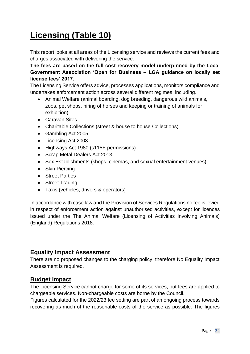# **Licensing (Table 10)**

This report looks at all areas of the Licensing service and reviews the current fees and charges associated with delivering the service.

**The fees are based on the full cost recovery model underpinned by the Local Government Association 'Open for Business – LGA guidance on locally set license fees' 2017.**

The Licensing Service offers advice, processes applications, monitors compliance and undertakes enforcement action across several different regimes, including.

- Animal Welfare (animal boarding, dog breeding, dangerous wild animals, zoos, pet shops, hiring of horses and keeping or training of animals for exhibition)
- Caravan Sites
- Charitable Collections (street & house to house Collections)
- Gambling Act 2005
- Licensing Act 2003
- Highways Act 1980 (s115E permissions)
- Scrap Metal Dealers Act 2013
- Sex Establishments (shops, cinemas, and sexual entertainment venues)
- Skin Piercing
- Street Parties
- Street Trading
- Taxis (vehicles, drivers & operators)

In accordance with case law and the Provision of Services Regulations no fee is levied in respect of enforcement action against unauthorised activities, except for licences issued under the The Animal Welfare (Licensing of Activities Involving Animals) (England) Regulations 2018.

#### **Equality Impact Assessment**

There are no proposed changes to the charging policy, therefore No Equality Impact Assessment is required.

#### **Budget Impact**

The Licensing Service cannot charge for some of its services, but fees are applied to chargeable services. Non-chargeable costs are borne by the Council.

Figures calculated for the 2022/23 fee setting are part of an ongoing process towards recovering as much of the reasonable costs of the service as possible. The figures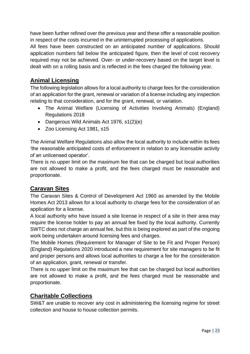have been further refined over the previous year and these offer a reasonable position in respect of the costs incurred in the uninterrupted processing of applications.

All fees have been constructed on an anticipated number of applications. Should application numbers fall below the anticipated figure, then the level of cost recovery required may not be achieved. Over- or under-recovery based on the target level is dealt with on a rolling basis and is reflected in the fees charged the following year.

## **Animal Licensing**

The following legislation allows for a local authority to charge fees for the consideration of an application for the grant, renewal or variation of a license including any inspection relating to that consideration, and for the grant, renewal, or variation.

- The Animal Welfare (Licensing of Activities Involving Animals) (England) Regulations 2018
- Dangerous Wild Animals Act 1976, s1(2)(e)
- Zoo Licensing Act 1981, s15

The Animal Welfare Regulations also allow the local authority to include within its fees 'the reasonable anticipated costs of enforcement in relation to any licensable activity of an unlicensed operator'.

There is no upper limit on the maximum fee that can be charged but local authorities are not allowed to make a profit, and the fees charged must be reasonable and proportionate.

## **Caravan Sites**

The Caravan Sites & Control of Development Act 1960 as amended by the Mobile Homes Act 2013 allows for a local authority to charge fees for the consideration of an application for a license.

A local authority who have issued a site license in respect of a site in their area may require the license holder to pay an annual fee fixed by the local authority. Currently SWTC does not charge an annual fee, but this is being explored as part of the ongoing work being undertaken around licensing fees and charges.

The Mobile Homes (Requirement for Manager of Site to be Fit and Proper Person) (England) Regulations 2020 introduced a new requirement for site managers to be fit and proper persons and allows local authorities to charge a fee for the consideration of an application, grant, renewal or transfer.

There is no upper limit on the maximum fee that can be charged but local authorities are not allowed to make a profit, and the fees charged must be reasonable and proportionate.

## **Charitable Collections**

SW&T are unable to recover any cost in administering the licensing regime for street collection and house to house collection permits.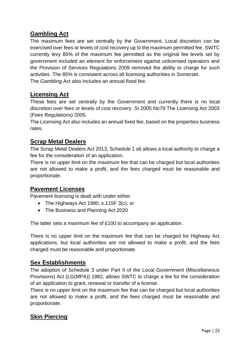## **Gambling Act**

The maximum fees are set centrally by the Government. Local discretion can be exercised over fees or levels of cost recovery up to the maximum permitted fee. SWTC currently levy 85% of the maximum fee permitted as the original fee levels set by government included an element for enforcement against unlicensed operators and the Provision of Services Regulations 2009 removed the ability to charge for such activities. The 85% is consistent across all licensing authorities in Somerset. The Gambling Act also includes an annual fixed fee.

#### **Licensing Act**

These fees are set centrally by the Government and currently there is no local discretion over fees or levels of cost recovery. SI 2005 No79 The Licensing Act 2003 (Fees Regulations) 2005.

The Licensing Act also includes an annual fixed fee, based on the properties business rates.

#### **Scrap Metal Dealers**

The Scrap Metal Dealers Act 2013, Schedule 1 s6 allows a local authority to charge a fee for the consideration of an application.

There is no upper limit on the maximum fee that can be charged but local authorities are not allowed to make a profit, and the fees charged must be reasonable and proportionate.

#### **Pavement Licenses**

Pavement licensing is dealt with under either:

- The Highways Act 1980, s.115F 3(c), or
- The Business and Planning Act 2020

The latter sets a maximum fee of £100 to accompany an application.

There is no upper limit on the maximum fee that can be charged for Highway Act applications, but local authorities are not allowed to make a profit, and the fees charged must be reasonable and proportionate.

#### **Sex Establishments**

The adoption of Schedule 3 under Part II of the Local Government (Miscellaneous Provisions) Act (LG(MPA)) 1982, allows SWTC to charge a fee for the consideration of an application to grant, renewal or transfer of a license.

There is no upper limit on the maximum fee that can be charged but local authorities are not allowed to make a profit, and the fees charged must be reasonable and proportionate.

## **Skin Piercing**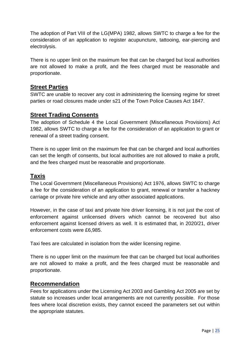The adoption of Part VIII of the LG(MPA) 1982, allows SWTC to charge a fee for the consideration of an application to register acupuncture, tattooing, ear-piercing and electrolysis.

There is no upper limit on the maximum fee that can be charged but local authorities are not allowed to make a profit, and the fees charged must be reasonable and proportionate.

#### **Street Parties**

SWTC are unable to recover any cost in administering the licensing regime for street parties or road closures made under s21 of the Town Police Causes Act 1847.

## **Street Trading Consents**

The adoption of Schedule 4 the Local Government (Miscellaneous Provisions) Act 1982, allows SWTC to charge a fee for the consideration of an application to grant or renewal of a street trading consent.

There is no upper limit on the maximum fee that can be charged and local authorities can set the length of consents, but local authorities are not allowed to make a profit, and the fees charged must be reasonable and proportionate.

#### **Taxis**

The Local Government (Miscellaneous Provisions) Act 1976, allows SWTC to charge a fee for the consideration of an application to grant, renewal or transfer a hackney carriage or private hire vehicle and any other associated applications.

However, in the case of taxi and private hire driver licensing, it is not just the cost of enforcement against unlicensed drivers which cannot be recovered but also enforcement against licensed drivers as well. It is estimated that, in 2020/21, driver enforcement costs were £6,985.

Taxi fees are calculated in isolation from the wider licensing regime.

There is no upper limit on the maximum fee that can be charged but local authorities are not allowed to make a profit, and the fees charged must be reasonable and proportionate.

#### **Recommendation**

Fees for applications under the Licensing Act 2003 and Gambling Act 2005 are set by statute so increases under local arrangements are not currently possible. For those fees where local discretion exists, they cannot exceed the parameters set out within the appropriate statutes.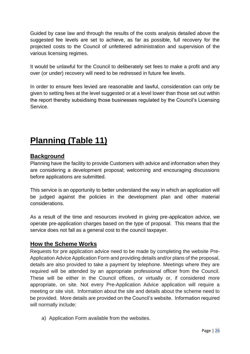Guided by case law and through the results of the costs analysis detailed above the suggested fee levels are set to achieve, as far as possible, full recovery for the projected costs to the Council of unfettered administration and supervision of the various licensing regimes.

It would be unlawful for the Council to deliberately set fees to make a profit and any over (or under) recovery will need to be redressed in future fee levels.

In order to ensure fees levied are reasonable and lawful, consideration can only be given to setting fees at the level suggested or at a level lower than those set out within the report thereby subsidising those businesses regulated by the Council's Licensing Service.

# **Planning (Table 11)**

## **Background**

Planning have the facility to provide Customers with advice and information when they are considering a development proposal; welcoming and encouraging discussions before applications are submitted.

This service is an opportunity to better understand the way in which an application will be judged against the policies in the development plan and other material considerations.

As a result of the time and resources involved in giving pre-application advice, we operate pre-application charges based on the type of proposal. This means that the service does not fall as a general cost to the council taxpayer.

## **How the Scheme Works**

Requests for pre application advice need to be made by completing the website Pre-Application Advice Application Form and providing details and/or plans of the proposal, details are also provided to take a payment by telephone. Meetings where they are required will be attended by an appropriate professional officer from the Council. These will be either in the Council offices, or virtually or, if considered more appropriate, on site. Not every Pre-Application Advice application will require a meeting or site visit. Information about the site and details about the scheme need to be provided. More details are provided on the Council's website. Information required will normally include:

a) Application Form available from the websites.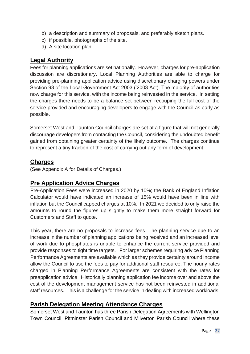- b) a description and summary of proposals, and preferably sketch plans.
- c) if possible, photographs of the site.
- d) A site location plan.

## **Legal Authority**

Fees for planning applications are set nationally. However, charges for pre-application discussion are discretionary. Local Planning Authorities are able to charge for providing pre-planning application advice using discretionary charging powers under Section 93 of the Local Government Act 2003 ('2003 Act). The majority of authorities now charge for this service, with the income being reinvested in the service. In setting the charges there needs to be a balance set between recouping the full cost of the service provided and encouraging developers to engage with the Council as early as possible.

Somerset West and Taunton Council charges are set at a figure that will not generally discourage developers from contacting the Council, considering the undoubted benefit gained from obtaining greater certainty of the likely outcome. The charges continue to represent a tiny fraction of the cost of carrying out any form of development.

## **Charges**

(See Appendix A for Details of Charges.)

## **Pre Application Advice Charges**

Pre-Application Fees were increased in 2020 by 10%; the Bank of England Inflation Calculator would have indicated an increase of 15% would have been in line with inflation but the Council capped charges at 10%. In 2021 we decided to only raise the amounts to round the figures up slightly to make them more straight forward for Customers and Staff to quote.

This year, there are no proposals to increase fees. The planning service due to an increase in the number of planning applications being received and an increased level of work due to phosphates is unable to enhance the current service provided and provide responses to tight time targets. For larger schemes requiring advice Planning Performance Agreements are available which as they provide certainty around income allow the Council to use the fees to pay for additional staff resource. The hourly rates charged in Planning Performance Agreements are consistent with the rates for preapplication advice. Historically planning application fee income over and above the cost of the development management service has not been reinvested in additional staff resources. This is a challenge for the service in dealing with increased workloads.

## **Parish Delegation Meeting Attendance Charges**

Somerset West and Taunton has three Parish Delegation Agreements with Wellington Town Council, Pitminster Parish Council and Milverton Parish Council where these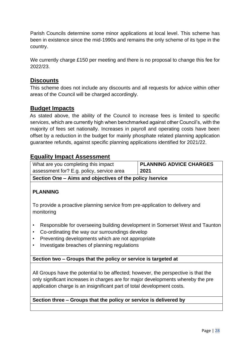Parish Councils determine some minor applications at local level. This scheme has been in existence since the mid-1990s and remains the only scheme of its type in the country.

We currently charge £150 per meeting and there is no proposal to change this fee for 2022/23.

#### **Discounts**

This scheme does not include any discounts and all requests for advice within other areas of the Council will be charged accordingly.

#### **Budget Impacts**

As stated above, the ability of the Council to increase fees is limited to specific services, which are currently high when benchmarked against other Council's, with the majority of fees set nationally. Increases in payroll and operating costs have been offset by a reduction in the budget for mainly phosphate related planning application guarantee refunds, against specific planning applications identified for 2021/22.

## **Equality Impact Assessment**

| What are you completing this impact                      | <b>PLANNING ADVICE CHARGES</b> |  |
|----------------------------------------------------------|--------------------------------|--|
| assessment for? E.g. policy, service area                | 2021                           |  |
| Section One – Aims and objectives of the policy /service |                                |  |

#### **PLANNING**

To provide a proactive planning service from pre-application to delivery and monitoring

- Responsible for overseeing building development in Somerset West and Taunton
- Co-ordinating the way our surroundings develop
- Preventing developments which are not appropriate
- Investigate breaches of planning regulations

#### **Section two – Groups that the policy or service is targeted at**

All Groups have the potential to be affected; however, the perspective is that the only significant increases in charges are for major developments whereby the pre application charge is an insignificant part of total development costs.

#### **Section three – Groups that the policy or service is delivered by**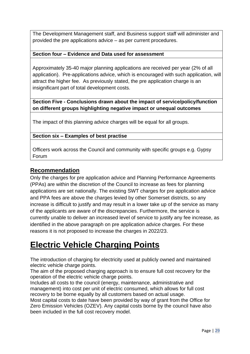The Development Management staff, and Business support staff will administer and provided the pre applications advice – as per current procedures.

#### **Section four – Evidence and Data used for assessment**

Approximately 35-40 major planning applications are received per year (2% of all application). Pre-applications advice, which is encouraged with such application, will attract the higher fee. As previously stated, the pre application charge is an insignificant part of total development costs.

**Section Five - Conclusions drawn about the impact of service/policy/function on different groups highlighting negative impact or unequal outcomes** 

The impact of this planning advice charges will be equal for all groups.

#### **Section six – Examples of best practise**

Officers work across the Council and community with specific groups e.g. Gypsy Forum

#### **Recommendation**

Only the charges for pre application advice and Planning Performance Agreements (PPAs) are within the discretion of the Council to increase as fees for planning applications are set nationally. The existing SWT charges for pre application advice and PPA fees are above the charges levied by other Somerset districts, so any increase is difficult to justify and may result in a lower take up of the service as many of the applicants are aware of the discrepancies. Furthermore, the service is currently unable to deliver an increased level of service to justify any fee increase, as identified in the above paragraph on pre application advice charges. For these reasons it is not proposed to increase the charges in 2022/23.

## **Electric Vehicle Charging Points**

The introduction of charging for electricity used at publicly owned and maintained electric vehicle charge points.

The aim of the proposed charging approach is to ensure full cost recovery for the operation of the electric vehicle charge points.

Includes all costs to the council (energy, maintenance, administrative and management) into cost per unit of electric consumed, which allows for full cost recovery to be borne equally by all customers based on actual usage.

Most capital costs to date have been provided by way of grant from the Office for Zero Emission Vehicles (OZEV). Any capital costs borne by the council have also been included in the full cost recovery model.